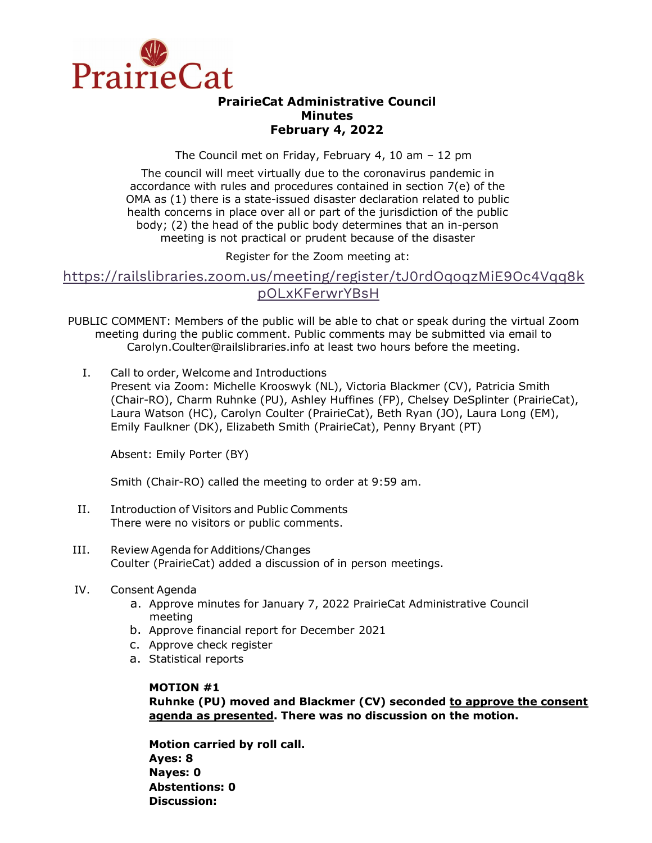

## **PrairieCat Administrative Council Minutes February 4, 2022**

The Council met on Friday, February 4, 10 am – 12 pm

The council will meet virtually due to the coronavirus pandemic in accordance with rules and procedures contained in section 7(e) of the OMA as (1) there is a state-issued disaster declaration related to public health concerns in place over all or part of the jurisdiction of the public body; (2) the head of the public body determines that an in-person meeting is not practical or prudent because of the disaster

Register for the Zoom meeting at:

[https://railslibraries.zoom.us/meeting/register/tJ0rdOqoqzMiE9Oc4Vqq8k](https://railslibraries.zoom.us/meeting/register/tJ0rdOqoqzMiE9Oc4Vqq8kpOLxKFerwrYBsH) [pOLxKFerwrYBsH](https://railslibraries.zoom.us/meeting/register/tJ0rdOqoqzMiE9Oc4Vqq8kpOLxKFerwrYBsH)

PUBLIC COMMENT: Members of the public will be able to chat or speak during the virtual Zoom meeting during the public comment. Public comments may be submitted via email to Carolyn.Coulter@railslibraries.info at least two hours before the meeting.

I. Call to order, Welcome and Introductions

Present via Zoom: Michelle Krooswyk (NL), Victoria Blackmer (CV), Patricia Smith (Chair-RO), Charm Ruhnke (PU), Ashley Huffines (FP), Chelsey DeSplinter (PrairieCat), Laura Watson (HC), Carolyn Coulter (PrairieCat), Beth Ryan (JO), Laura Long (EM), Emily Faulkner (DK), Elizabeth Smith (PrairieCat), Penny Bryant (PT)

Absent: Emily Porter (BY)

Smith (Chair-RO) called the meeting to order at 9:59 am.

- II. Introduction of Visitors and Public Comments There were no visitors or public comments.
- III. Review Agenda for Additions/Changes Coulter (PrairieCat) added a discussion of in person meetings.
- IV. Consent Agenda
	- a. Approve minutes for January 7, 2022 PrairieCat Administrative Council meeting
	- b. Approve financial report for December 2021
	- c. Approve check register
	- a. Statistical reports

**MOTION #1 Ruhnke (PU) moved and Blackmer (CV) seconded to approve the consent agenda as presented. There was no discussion on the motion.** 

**Motion carried by roll call. Ayes: 8 Nayes: 0 Abstentions: 0 Discussion:**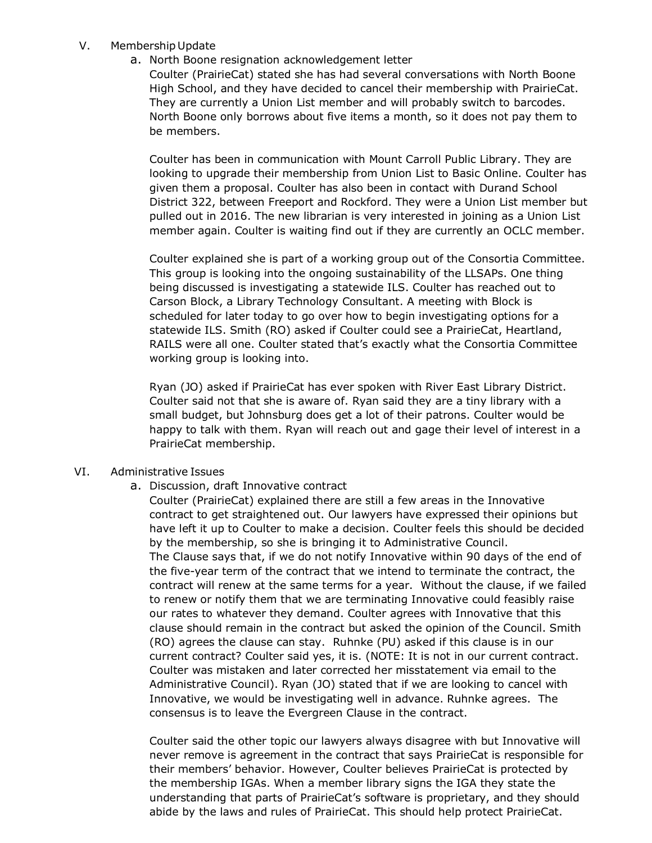## V. Membership Update

a. North Boone resignation acknowledgement letter

Coulter (PrairieCat) stated she has had several conversations with North Boone High School, and they have decided to cancel their membership with PrairieCat. They are currently a Union List member and will probably switch to barcodes. North Boone only borrows about five items a month, so it does not pay them to be members.

Coulter has been in communication with Mount Carroll Public Library. They are looking to upgrade their membership from Union List to Basic Online. Coulter has given them a proposal. Coulter has also been in contact with Durand School District 322, between Freeport and Rockford. They were a Union List member but pulled out in 2016. The new librarian is very interested in joining as a Union List member again. Coulter is waiting find out if they are currently an OCLC member.

Coulter explained she is part of a working group out of the Consortia Committee. This group is looking into the ongoing sustainability of the LLSAPs. One thing being discussed is investigating a statewide ILS. Coulter has reached out to Carson Block, a Library Technology Consultant. A meeting with Block is scheduled for later today to go over how to begin investigating options for a statewide ILS. Smith (RO) asked if Coulter could see a PrairieCat, Heartland, RAILS were all one. Coulter stated that's exactly what the Consortia Committee working group is looking into.

Ryan (JO) asked if PrairieCat has ever spoken with River East Library District. Coulter said not that she is aware of. Ryan said they are a tiny library with a small budget, but Johnsburg does get a lot of their patrons. Coulter would be happy to talk with them. Ryan will reach out and gage their level of interest in a PrairieCat membership.

## VI. Administrative Issues

a. Discussion, draft Innovative contract

Coulter (PrairieCat) explained there are still a few areas in the Innovative contract to get straightened out. Our lawyers have expressed their opinions but have left it up to Coulter to make a decision. Coulter feels this should be decided by the membership, so she is bringing it to Administrative Council. The Clause says that, if we do not notify Innovative within 90 days of the end of the five-year term of the contract that we intend to terminate the contract, the contract will renew at the same terms for a year. Without the clause, if we failed to renew or notify them that we are terminating Innovative could feasibly raise our rates to whatever they demand. Coulter agrees with Innovative that this clause should remain in the contract but asked the opinion of the Council. Smith (RO) agrees the clause can stay. Ruhnke (PU) asked if this clause is in our current contract? Coulter said yes, it is. (NOTE: It is not in our current contract. Coulter was mistaken and later corrected her misstatement via email to the Administrative Council). Ryan (JO) stated that if we are looking to cancel with Innovative, we would be investigating well in advance. Ruhnke agrees. The consensus is to leave the Evergreen Clause in the contract.

Coulter said the other topic our lawyers always disagree with but Innovative will never remove is agreement in the contract that says PrairieCat is responsible for their members' behavior. However, Coulter believes PrairieCat is protected by the membership IGAs. When a member library signs the IGA they state the understanding that parts of PrairieCat's software is proprietary, and they should abide by the laws and rules of PrairieCat. This should help protect PrairieCat.